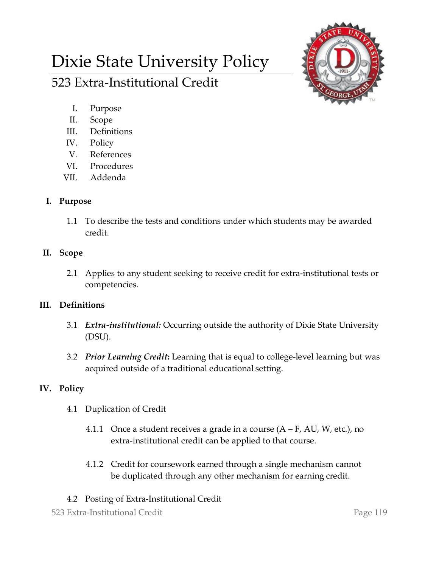# Dixie State University Policy 523 Extra-Institutional Credit



- I. Purpose
- II. Scope
- III. Definitions
- IV. Policy
- V. References
- VI. Procedures
- VII. Addenda

### **I. Purpose**

1.1 To describe the tests and conditions under which students may be awarded credit.

## **II. Scope**

2.1 Applies to any student seeking to receive credit for extra-institutional tests or competencies.

## **III. Definitions**

- 3.1 *Extra-institutional:* Occurring outside the authority of Dixie State University (DSU).
- 3.2 *Prior Learning Credit:* Learning that is equal to college-level learning but was acquired outside of a traditional educational setting.

## **IV. Policy**

- 4.1 Duplication of Credit
	- 4.1.1 Once a student receives a grade in a course  $(A F, AU, W, etc.),$  no extra-institutional credit can be applied to that course.
	- 4.1.2 Credit for coursework earned through a single mechanism cannot be duplicated through any other mechanism for earning credit.

## 4.2 Posting of Extra-Institutional Credit

523 Extra-Institutional Credit Page 1|9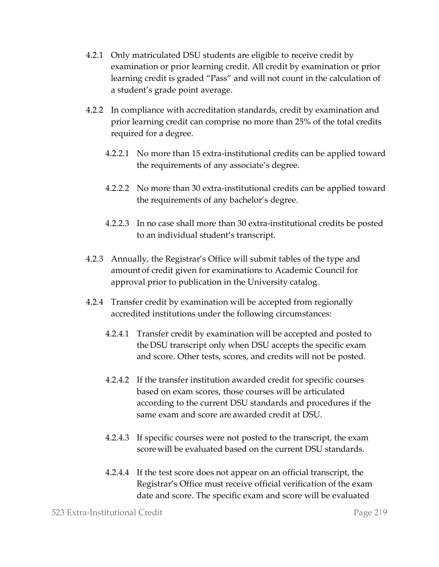- 4.2.1 Only matriculated DSU students are eligible to receive credit by examination or prior learning credit. All credit by examination or prior learning credit is graded "Pass" and will not count in the calculation of a student's grade point average.
- 4.2.2 In compliance with accreditation standards, credit by examination and prior learning credit can comprise no more than 25% of the total credits required for a degree.
	- 4.2.2.1 No more than 15 extra-institutional credits can be applied toward the requirements of any associate's degree.
	- 4.2.2.2 No more than 30 extra-institutional credits can be applied toward the requirements of any bachelor's degree.
	- 4.2.2.3 In no case shall more than 30 extra-institutional credits be posted to an individual student's transcript.
- 4.2.3 Annually, the Registrar's Office will submit tables of the type and amount of credit given for examinations to Academic Council for approval prior to publication in the University catalog.
- 4.2.4 Transfer credit by examination will be accepted from regionally accredited institutions under the following circumstances:
	- 4.2.4.1 Transfer credit by examination will be accepted and posted to the DSU transcript only when DSU accepts the specific exam and score. Other tests, scores, and credits will not be posted.
	- 4.2.4.2 If the transfer institution awarded credit for specific courses based on exam scores, those courses will be articulated according to the current DSU standards and procedures if the same exam and score are awarded credit at DSU.
	- 4.2.4.3 If specific courses were not posted to the transcript, the exam scorewill be evaluated based on the current DSU standards.
	- 4.2.4.4 If the test score does not appear on an official transcript, the Registrar's Office must receive official verification of the exam date and score. The specific exam and score will be evaluated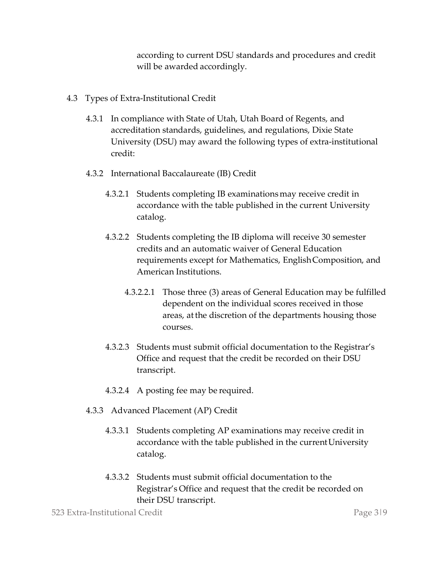according to current DSU standards and procedures and credit will be awarded accordingly.

- 4.3 Types of Extra-Institutional Credit
	- 4.3.1 In compliance with State of Utah, Utah Board of Regents, and accreditation standards, guidelines, and regulations, Dixie State University (DSU) may award the following types of extra-institutional credit:
	- 4.3.2 International Baccalaureate (IB) Credit
		- 4.3.2.1 Students completing IB examinationsmay receive credit in accordance with the table published in the current University catalog.
		- 4.3.2.2 Students completing the IB diploma will receive 30 semester credits and an automatic waiver of General Education requirements except for Mathematics, EnglishComposition, and American Institutions.
			- 4.3.2.2.1 Those three (3) areas of General Education may be fulfilled dependent on the individual scores received in those areas, atthe discretion of the departments housing those courses.
		- 4.3.2.3 Students must submit official documentation to the Registrar's Office and request that the credit be recorded on their DSU transcript.
		- 4.3.2.4 A posting fee may be required.
	- 4.3.3 Advanced Placement (AP) Credit
		- 4.3.3.1 Students completing AP examinations may receive credit in accordance with the table published in the current University catalog.
		- 4.3.3.2 Students must submit official documentation to the Registrar's Office and request that the credit be recorded on their DSU transcript.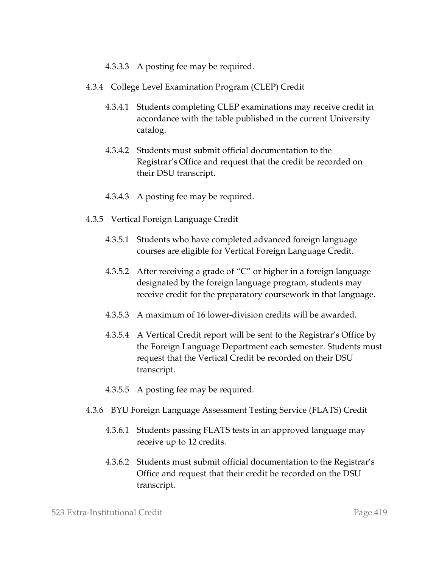#### 4.3.3.3 A posting fee may be required.

- 4.3.4 College Level Examination Program (CLEP) Credit
	- 4.3.4.1 Students completing CLEP examinations may receive credit in accordance with the table published in the current University catalog.
	- 4.3.4.2 Students must submit official documentation to the Registrar's Office and request that the credit be recorded on their DSU transcript.
	- 4.3.4.3 A posting fee may be required.
- 4.3.5 Vertical Foreign Language Credit
	- 4.3.5.1 Students who have completed advanced foreign language courses are eligible for Vertical Foreign Language Credit.
	- 4.3.5.2 After receiving a grade of "C" or higher in a foreign language designated by the foreign language program, students may receive credit for the preparatory coursework in that language.
	- 4.3.5.3 A maximum of 16 lower-division credits will be awarded.
	- 4.3.5.4 A Vertical Credit report will be sent to the Registrar's Office by the Foreign Language Department each semester. Students must request that the Vertical Credit be recorded on their DSU transcript.
	- 4.3.5.5 A posting fee may be required.
- 4.3.6 BYU Foreign Language Assessment Testing Service (FLATS) Credit
	- 4.3.6.1 Students passing FLATS tests in an approved language may receive up to 12 credits.
	- 4.3.6.2 Students must submit official documentation to the Registrar's Office and request that their credit be recorded on the DSU transcript.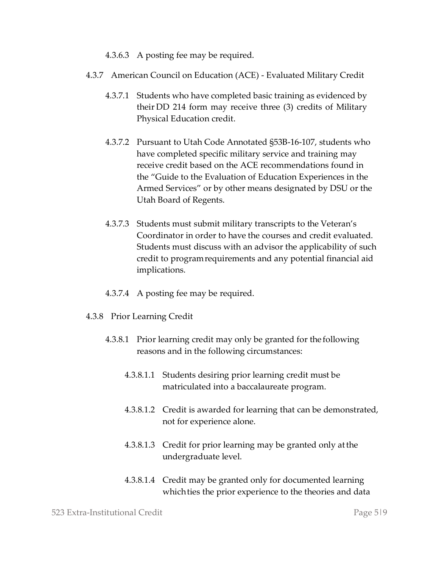4.3.6.3 A posting fee may be required.

- 4.3.7 American Council on Education (ACE) Evaluated Military Credit
	- 4.3.7.1 Students who have completed basic training as evidenced by their DD 214 form may receive three (3) credits of Military Physical Education credit.
	- 4.3.7.2 Pursuant to Utah Code Annotated §53B-16-107, students who have completed specific military service and training may receive credit based on the ACE recommendations found in the "Guide to the Evaluation of Education Experiences in the Armed Services" or by other means designated by DSU or the Utah Board of Regents.
	- 4.3.7.3 Students must submit military transcripts to the Veteran's Coordinator in order to have the courses and credit evaluated. Students must discuss with an advisor the applicability of such credit to programrequirements and any potential financial aid implications.
	- 4.3.7.4 A posting fee may be required.
- 4.3.8 Prior Learning Credit
	- 4.3.8.1 Prior learning credit may only be granted for the following reasons and in the following circumstances:
		- 4.3.8.1.1 Students desiring prior learning credit must be matriculated into a baccalaureate program.
		- 4.3.8.1.2 Credit is awarded for learning that can be demonstrated, not for experience alone.
		- 4.3.8.1.3 Credit for prior learning may be granted only atthe undergraduate level.
		- 4.3.8.1.4 Credit may be granted only for documented learning which ties the prior experience to the theories and data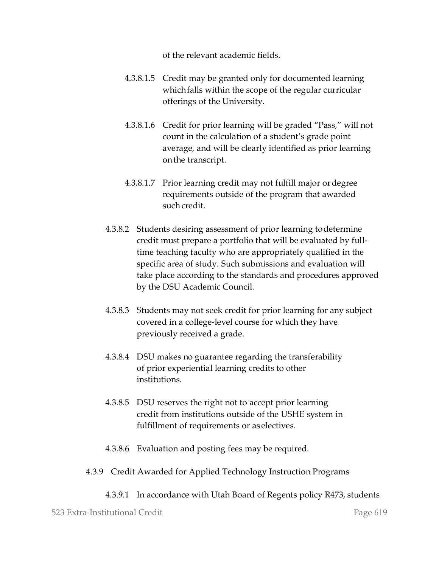of the relevant academic fields.

- 4.3.8.1.5 Credit may be granted only for documented learning which falls within the scope of the regular curricular offerings of the University.
- 4.3.8.1.6 Credit for prior learning will be graded "Pass," will not count in the calculation of a student's grade point average, and will be clearly identified as prior learning onthe transcript.
- 4.3.8.1.7 Prior learning credit may not fulfill major ordegree requirements outside of the program that awarded such credit.
- 4.3.8.2 Students desiring assessment of prior learning todetermine credit must prepare a portfolio that will be evaluated by fulltime teaching faculty who are appropriately qualified in the specific area of study. Such submissions and evaluation will take place according to the standards and procedures approved by the DSU Academic Council.
- 4.3.8.3 Students may not seek credit for prior learning for any subject covered in a college-level course for which they have previously received a grade.
- 4.3.8.4 DSU makes no guarantee regarding the transferability of prior experiential learning credits to other institutions.
- 4.3.8.5 DSU reserves the right not to accept prior learning credit from institutions outside of the USHE system in fulfillment of requirements or as electives.
- 4.3.8.6 Evaluation and posting fees may be required.
- 4.3.9 Credit Awarded for Applied Technology Instruction Programs
	- 4.3.9.1 In accordance with Utah Board of Regents policy R473, students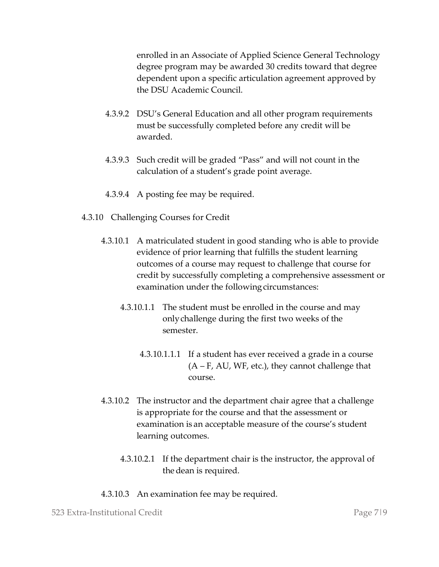enrolled in an Associate of Applied Science General Technology degree program may be awarded 30 credits toward that degree dependent upon a specific articulation agreement approved by the DSU Academic Council.

- 4.3.9.2 DSU's General Education and all other program requirements must be successfully completed before any credit will be awarded.
- 4.3.9.3 Such credit will be graded "Pass" and will not count in the calculation of a student's grade point average.
- 4.3.9.4 A posting fee may be required.
- 4.3.10 Challenging Courses for Credit
	- 4.3.10.1 A matriculated student in good standing who is able to provide evidence of prior learning that fulfills the student learning outcomes of a course may request to challenge that course for credit by successfully completing a comprehensive assessment or examination under the following circumstances:
		- 4.3.10.1.1 The student must be enrolled in the course and may onlychallenge during the first two weeks of the semester.
			- 4.3.10.1.1.1 If a student has ever received a grade in a course  $(A - F, AU, WF, etc.),$  they cannot challenge that course.
	- 4.3.10.2 The instructor and the department chair agree that a challenge is appropriate for the course and that the assessment or examination is an acceptable measure of the course's student learning outcomes.
		- 4.3.10.2.1 If the department chair is the instructor, the approval of the dean is required.
	- 4.3.10.3 An examination fee may be required.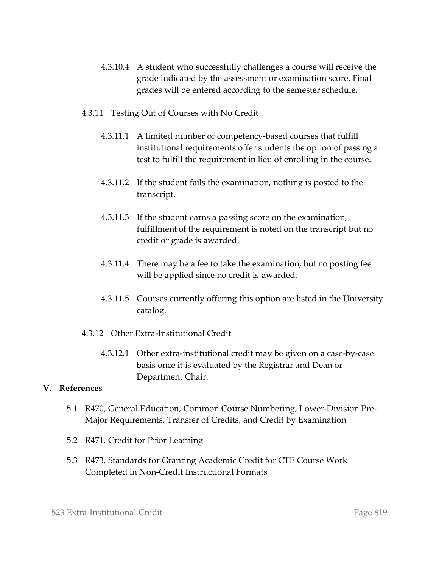- 4.3.10.4 A student who successfully challenges a course will receive the grade indicated by the assessment or examination score. Final grades will be entered according to the semester schedule.
- 4.3.11 Testing Out of Courses with No Credit
	- 4.3.11.1 A limited number of competency-based courses that fulfill institutional requirements offer students the option of passing a test to fulfill the requirement in lieu of enrolling in the course.
	- 4.3.11.2 If the student fails the examination, nothing is posted to the transcript.
	- 4.3.11.3 If the student earns a passing score on the examination, fulfillment of the requirement is noted on the transcript but no credit or grade is awarded.
	- 4.3.11.4 There may be a fee to take the examination, but no posting fee will be applied since no credit is awarded.
	- 4.3.11.5 Courses currently offering this option are listed in the University catalog.
- 4.3.12 Other Extra-Institutional Credit
	- 4.3.12.1 Other extra-institutional credit may be given on a case-by-case basis once it is evaluated by the Registrar and Dean or Department Chair.

#### **V. References**

- 5.1 R470, General Education, Common Course Numbering, Lower-Division Pre-Major Requirements, Transfer of Credits, and Credit by Examination
- 5.2 R471, Credit for Prior Learning
- 5.3 R473, Standards for Granting Academic Credit for CTE Course Work Completed in Non-Credit Instructional Formats